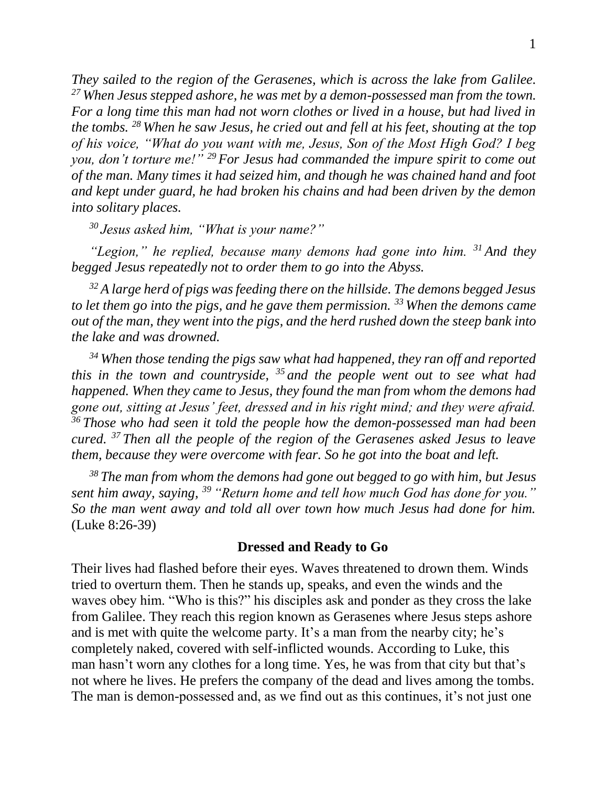*They sailed to the region of the Gerasenes, which is across the lake from Galilee. <sup>27</sup> When Jesus stepped ashore, he was met by a demon-possessed man from the town. For a long time this man had not worn clothes or lived in a house, but had lived in the tombs. <sup>28</sup> When he saw Jesus, he cried out and fell at his feet, shouting at the top of his voice, "What do you want with me, Jesus, Son of the Most High God? I beg you, don't torture me!" <sup>29</sup> For Jesus had commanded the impure spirit to come out of the man. Many times it had seized him, and though he was chained hand and foot and kept under guard, he had broken his chains and had been driven by the demon into solitary places.* 

*<sup>30</sup> Jesus asked him, "What is your name?"* 

*"Legion," he replied, because many demons had gone into him. <sup>31</sup> And they begged Jesus repeatedly not to order them to go into the Abyss.* 

*<sup>32</sup> A large herd of pigs was feeding there on the hillside. The demons begged Jesus to let them go into the pigs, and he gave them permission. <sup>33</sup> When the demons came out of the man, they went into the pigs, and the herd rushed down the steep bank into the lake and was drowned.* 

*<sup>34</sup> When those tending the pigs saw what had happened, they ran off and reported this in the town and countryside, <sup>35</sup> and the people went out to see what had happened. When they came to Jesus, they found the man from whom the demons had gone out, sitting at Jesus' feet, dressed and in his right mind; and they were afraid. <sup>36</sup> Those who had seen it told the people how the demon-possessed man had been cured. <sup>37</sup> Then all the people of the region of the Gerasenes asked Jesus to leave them, because they were overcome with fear. So he got into the boat and left.* 

*<sup>38</sup> The man from whom the demons had gone out begged to go with him, but Jesus sent him away, saying, <sup>39</sup> "Return home and tell how much God has done for you." So the man went away and told all over town how much Jesus had done for him.* (Luke 8:26-39)

## **Dressed and Ready to Go**

Their lives had flashed before their eyes. Waves threatened to drown them. Winds tried to overturn them. Then he stands up, speaks, and even the winds and the waves obey him. "Who is this?" his disciples ask and ponder as they cross the lake from Galilee. They reach this region known as Gerasenes where Jesus steps ashore and is met with quite the welcome party. It's a man from the nearby city; he's completely naked, covered with self-inflicted wounds. According to Luke, this man hasn't worn any clothes for a long time. Yes, he was from that city but that's not where he lives. He prefers the company of the dead and lives among the tombs. The man is demon-possessed and, as we find out as this continues, it's not just one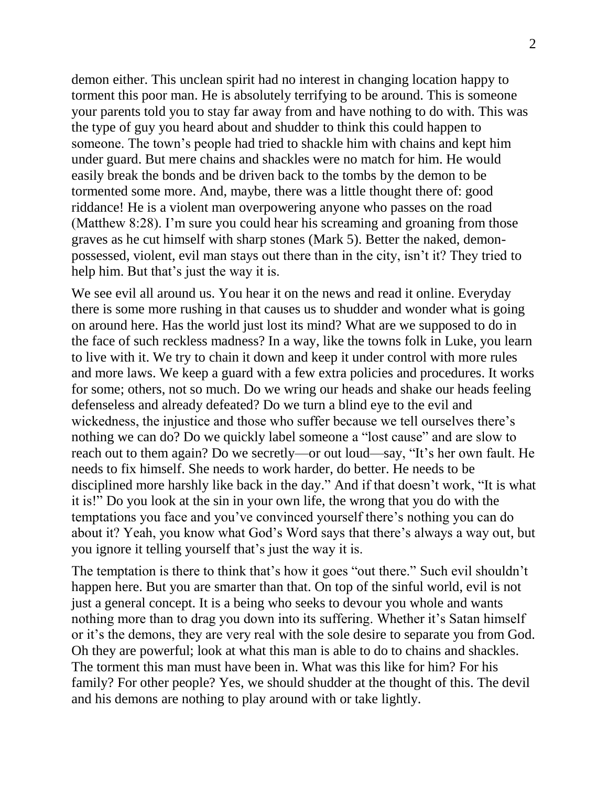demon either. This unclean spirit had no interest in changing location happy to torment this poor man. He is absolutely terrifying to be around. This is someone your parents told you to stay far away from and have nothing to do with. This was the type of guy you heard about and shudder to think this could happen to someone. The town's people had tried to shackle him with chains and kept him under guard. But mere chains and shackles were no match for him. He would easily break the bonds and be driven back to the tombs by the demon to be tormented some more. And, maybe, there was a little thought there of: good riddance! He is a violent man overpowering anyone who passes on the road (Matthew 8:28). I'm sure you could hear his screaming and groaning from those graves as he cut himself with sharp stones (Mark 5). Better the naked, demonpossessed, violent, evil man stays out there than in the city, isn't it? They tried to help him. But that's just the way it is.

We see evil all around us. You hear it on the news and read it online. Everyday there is some more rushing in that causes us to shudder and wonder what is going on around here. Has the world just lost its mind? What are we supposed to do in the face of such reckless madness? In a way, like the towns folk in Luke, you learn to live with it. We try to chain it down and keep it under control with more rules and more laws. We keep a guard with a few extra policies and procedures. It works for some; others, not so much. Do we wring our heads and shake our heads feeling defenseless and already defeated? Do we turn a blind eye to the evil and wickedness, the injustice and those who suffer because we tell ourselves there's nothing we can do? Do we quickly label someone a "lost cause" and are slow to reach out to them again? Do we secretly—or out loud—say, "It's her own fault. He needs to fix himself. She needs to work harder, do better. He needs to be disciplined more harshly like back in the day." And if that doesn't work, "It is what it is!" Do you look at the sin in your own life, the wrong that you do with the temptations you face and you've convinced yourself there's nothing you can do about it? Yeah, you know what God's Word says that there's always a way out, but you ignore it telling yourself that's just the way it is.

The temptation is there to think that's how it goes "out there." Such evil shouldn't happen here. But you are smarter than that. On top of the sinful world, evil is not just a general concept. It is a being who seeks to devour you whole and wants nothing more than to drag you down into its suffering. Whether it's Satan himself or it's the demons, they are very real with the sole desire to separate you from God. Oh they are powerful; look at what this man is able to do to chains and shackles. The torment this man must have been in. What was this like for him? For his family? For other people? Yes, we should shudder at the thought of this. The devil and his demons are nothing to play around with or take lightly.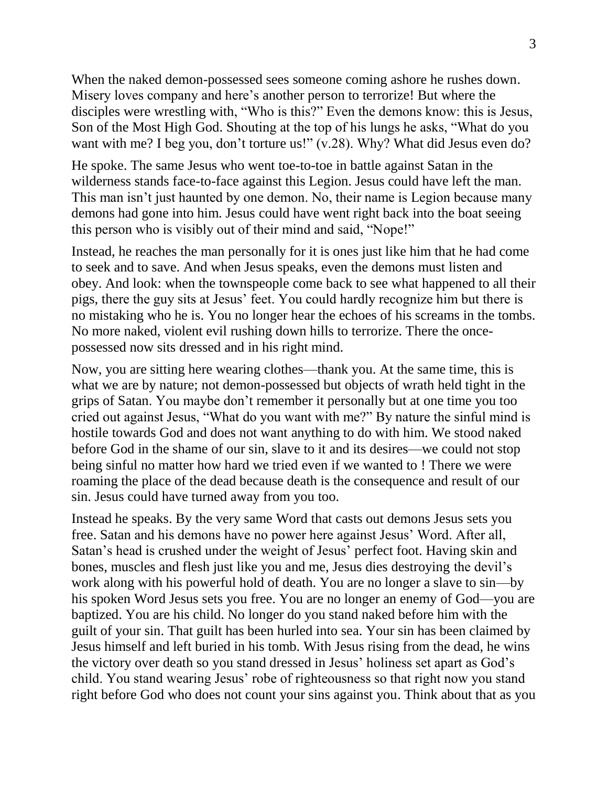When the naked demon-possessed sees someone coming ashore he rushes down. Misery loves company and here's another person to terrorize! But where the disciples were wrestling with, "Who is this?" Even the demons know: this is Jesus, Son of the Most High God. Shouting at the top of his lungs he asks, "What do you want with me? I beg you, don't torture us!" (v.28). Why? What did Jesus even do?

He spoke. The same Jesus who went toe-to-toe in battle against Satan in the wilderness stands face-to-face against this Legion. Jesus could have left the man. This man isn't just haunted by one demon. No, their name is Legion because many demons had gone into him. Jesus could have went right back into the boat seeing this person who is visibly out of their mind and said, "Nope!"

Instead, he reaches the man personally for it is ones just like him that he had come to seek and to save. And when Jesus speaks, even the demons must listen and obey. And look: when the townspeople come back to see what happened to all their pigs, there the guy sits at Jesus' feet. You could hardly recognize him but there is no mistaking who he is. You no longer hear the echoes of his screams in the tombs. No more naked, violent evil rushing down hills to terrorize. There the oncepossessed now sits dressed and in his right mind.

Now, you are sitting here wearing clothes—thank you. At the same time, this is what we are by nature; not demon-possessed but objects of wrath held tight in the grips of Satan. You maybe don't remember it personally but at one time you too cried out against Jesus, "What do you want with me?" By nature the sinful mind is hostile towards God and does not want anything to do with him. We stood naked before God in the shame of our sin, slave to it and its desires—we could not stop being sinful no matter how hard we tried even if we wanted to ! There we were roaming the place of the dead because death is the consequence and result of our sin. Jesus could have turned away from you too.

Instead he speaks. By the very same Word that casts out demons Jesus sets you free. Satan and his demons have no power here against Jesus' Word. After all, Satan's head is crushed under the weight of Jesus' perfect foot. Having skin and bones, muscles and flesh just like you and me, Jesus dies destroying the devil's work along with his powerful hold of death. You are no longer a slave to sin—by his spoken Word Jesus sets you free. You are no longer an enemy of God—you are baptized. You are his child. No longer do you stand naked before him with the guilt of your sin. That guilt has been hurled into sea. Your sin has been claimed by Jesus himself and left buried in his tomb. With Jesus rising from the dead, he wins the victory over death so you stand dressed in Jesus' holiness set apart as God's child. You stand wearing Jesus' robe of righteousness so that right now you stand right before God who does not count your sins against you. Think about that as you